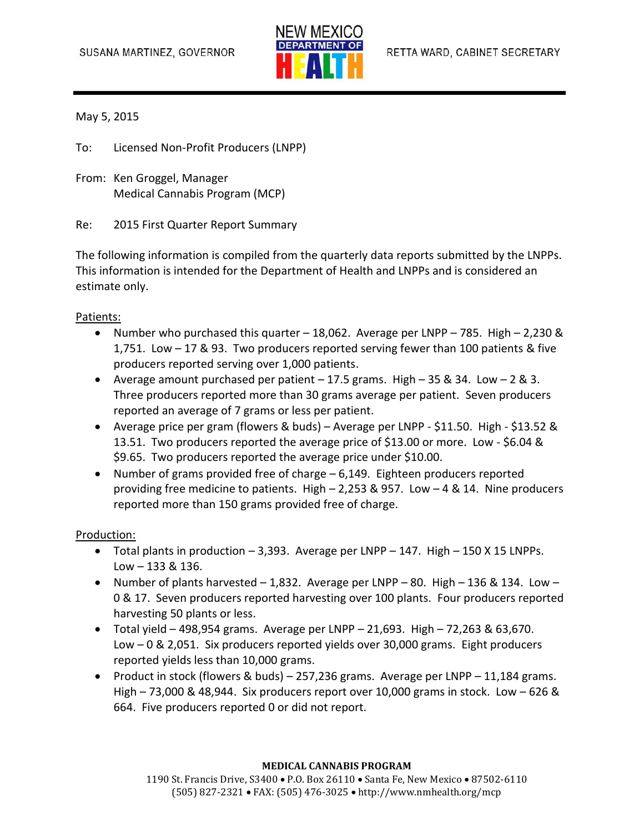

May 5, 2015

To: Licensed Non-Profit Producers (LNPP)

From: Ken Groggel, Manager Medical Cannabis Program (MCP)

Re: 2015 First Quarter Report Summary

The following information is compiled from the quarterly data reports submitted by the LNPPs. This information is intended for the Department of Health and LNPPs and is considered an estimate only.

## Patients:

- Number who purchased this quarter  $-18,062$ . Average per LNPP 785. High 2,230 & 1,751. Low – 17 & 93. Two producers reported serving fewer than 100 patients & five producers reported serving over 1,000 patients.
- Average amount purchased per patient  $-17.5$  grams. High  $-35$  & 34. Low  $-2$  & 3. Three producers reported more than 30 grams average per patient. Seven producers reported an average of 7 grams or less per patient.
- Average price per gram (flowers & buds) Average per LNPP \$11.50. High \$13.52 & 13.51. Two producers reported the average price of \$13.00 or more. Low - \$6.04 & \$9.65. Two producers reported the average price under \$10.00.
- Number of grams provided free of charge 6,149. Eighteen producers reported providing free medicine to patients. High – 2,253 & 957. Low – 4 & 14. Nine producers reported more than 150 grams provided free of charge.

## Production:

- $\bullet$  Total plants in production 3,393. Average per LNPP 147. High 150 X 15 LNPPs. Low – 133 & 136.
- Number of plants harvested  $-1,832$ . Average per LNPP 80. High 136 & 134. Low 0 & 17. Seven producers reported harvesting over 100 plants. Four producers reported harvesting 50 plants or less.
- $\bullet$  Total yield 498,954 grams. Average per LNPP 21,693. High 72,263 & 63,670. Low – 0 & 2,051. Six producers reported yields over 30,000 grams. Eight producers reported yields less than 10,000 grams.
- Product in stock (flowers & buds) 257,236 grams. Average per LNPP 11,184 grams. High – 73,000 & 48,944. Six producers report over 10,000 grams in stock. Low – 626 & 664. Five producers reported 0 or did not report.

## **MEDICAL CANNABIS PROGRAM**